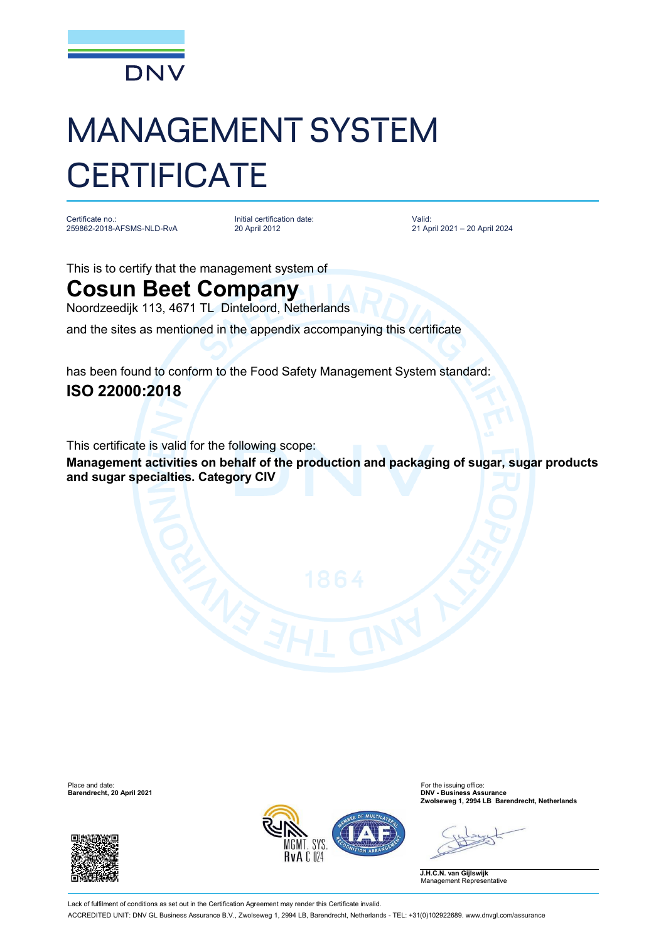

# MANAGEMENT SYSTEM **CERTIFICATE**

Certificate no.: 259862-2018-AFSMS-NLD-RvA

Initial certification date: 20 April 2012

Valid: 21 April 2021 – 20 April 2024

This is to certify that the management system of

## **Cosun Beet Company**

Noordzeedijk 113, 4671 TL Dinteloord, Netherlands

and the sites as mentioned in the appendix accompanying this certificate

has been found to conform to the Food Safety Management System standard:

### **ISO 22000:2018**

This certificate is valid for the following scope:

**Management activities on behalf of the production and packaging of sugar, sugar products and sugar specialties. Category CIV**





Place and date: For the issuing office: **Barendrecht, 20 April 2021 DNV - Business Assurance Zwolseweg 1, 2994 LB Barendrecht, Netherlands**

**J.H.C.N. van Gijlswijk** Management Representative

Lack of fulfilment of conditions as set out in the Certification Agreement may render this Certificate invalid. ACCREDITED UNIT: DNV GL Business Assurance B.V., Zwolseweg 1, 2994 LB, Barendrecht, Netherlands - TEL: +31(0)102922689. [www.dnvgl.com/assurance](http://www.dnvgl.com/assurance)